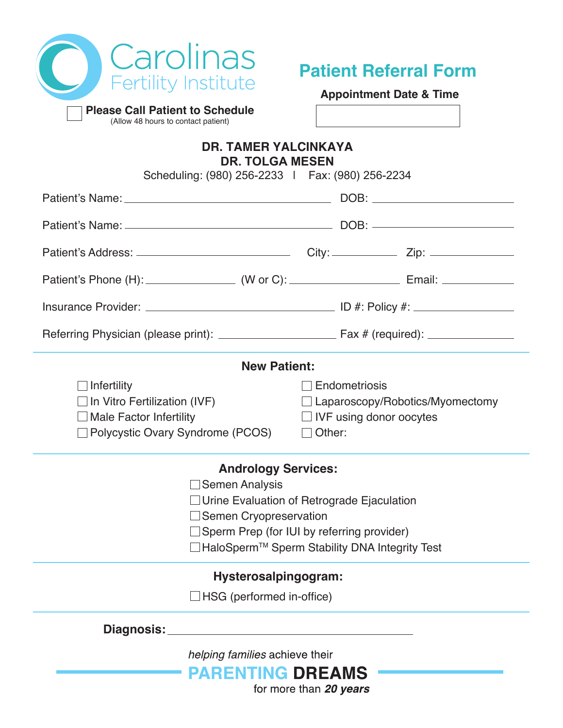

Г

**Please Call Patient to Schedule** (Allow 48 hours to contact patient)

# **Appointment Date & Time**

**Patient Referral Form**

| (Allow 48 hours to contact patient)                                                                        |                                 |                                               |
|------------------------------------------------------------------------------------------------------------|---------------------------------|-----------------------------------------------|
| <b>DR. TAMER YALCINKAYA</b><br><b>DR. TOLGA MESEN</b>                                                      |                                 |                                               |
| Scheduling: (980) 256-2233   Fax: (980) 256-2234                                                           |                                 |                                               |
|                                                                                                            |                                 |                                               |
|                                                                                                            |                                 |                                               |
|                                                                                                            |                                 |                                               |
| Patient's Phone (H): _____________________(W or C): _____________________________ Email: _________________ |                                 |                                               |
|                                                                                                            |                                 |                                               |
|                                                                                                            |                                 |                                               |
| <b>New Patient:</b>                                                                                        |                                 |                                               |
| $\Box$ Infertility                                                                                         | □ Endometriosis                 |                                               |
| $\Box$ In Vitro Fertilization (IVF)                                                                        | Laparoscopy/Robotics/Myomectomy |                                               |
| $\Box$ Male Factor Infertility                                                                             | $\Box$ IVF using donor oocytes  |                                               |
| $\Box$ Polycystic Ovary Syndrome (PCOS)                                                                    | Other:                          |                                               |
| <b>Andrology Services:</b>                                                                                 |                                 |                                               |
| $\Box$ Semen Analysis                                                                                      |                                 |                                               |
| $\Box$ Urine Evaluation of Retrograde Ejaculation                                                          |                                 |                                               |
| $\Box$ Semen Cryopreservation                                                                              |                                 |                                               |
| Sperm Prep (for IUI by referring provider)                                                                 |                                 |                                               |
|                                                                                                            |                                 | HaloSperm™ Sperm Stability DNA Integrity Test |
| Hysterosalpingogram:                                                                                       |                                 |                                               |
| HSG (performed in-office)                                                                                  |                                 |                                               |

**Diagnosis:**

helping families achieve their

**PARENTING DREAMS** for more than 20 years